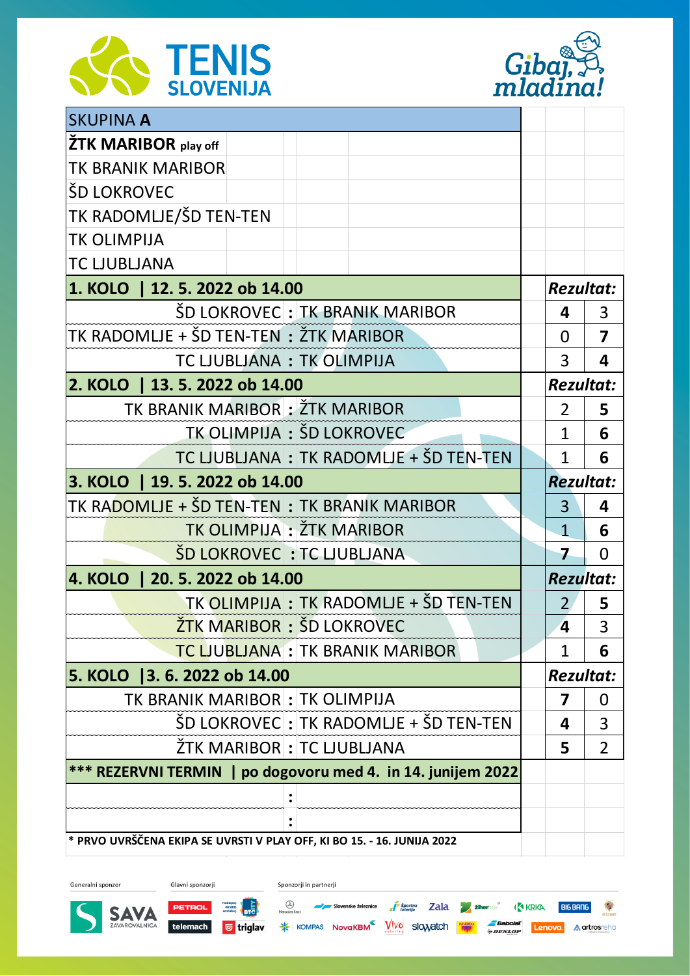



| <b>SKUPINA A</b>                                                        |  |                         |                         |  |
|-------------------------------------------------------------------------|--|-------------------------|-------------------------|--|
| <b>ŽTK MARIBOR</b> play off                                             |  |                         |                         |  |
| <b>TK BRANIK MARIBOR</b>                                                |  |                         |                         |  |
| ŠD LOKROVEC                                                             |  |                         |                         |  |
| TK RADOMLJE/ŠD TEN-TEN                                                  |  |                         |                         |  |
| <b>TK OLIMPIJA</b>                                                      |  |                         |                         |  |
| <b>TC LJUBLJANA</b>                                                     |  |                         |                         |  |
| 1. KOLO   12. 5. 2022 ob 14.00                                          |  |                         | <b>Rezultat:</b>        |  |
| ŠD LOKROVEC : TK BRANIK MARIBOR                                         |  | 4                       | 3                       |  |
| TK RADOMLJE + ŠD TEN-TEN : ŽTK MARIBOR                                  |  | 0                       | $\overline{\mathbf{z}}$ |  |
| TC LJUBLJANA: TK OLIMPIJA                                               |  | 3                       | 4                       |  |
| 2. KOLO   13. 5. 2022 ob 14.00                                          |  |                         | <b>Rezultat:</b>        |  |
| TK BRANIK MARIBOR : ŽTK MARIBOR                                         |  | $\overline{2}$          | 5                       |  |
| TK OLIMPIJA: ŠD LOKROVEC                                                |  | 1                       | 6                       |  |
| TC LJUBLJANA: TK RADOMLJE + ŠD TEN-TEN                                  |  | $\mathbf{1}$            | 6                       |  |
| 3. KOLO   19. 5. 2022 ob 14.00                                          |  |                         | <b>Rezultat:</b>        |  |
| TK RA <mark>DOMLJE + ŠD TEN-TEN</mark> : TK BRANIK MARIBOR              |  | 3                       | 4                       |  |
| TK OLIMPIJA : ŽTK MARIBOR                                               |  | $\mathbf{1}$            | 6                       |  |
| <b>ŠD LOKROVEC : TC LJUBLJANA</b>                                       |  | 7                       | 0                       |  |
| 4. KOLO  <br>20.5.2022 ob 14.00                                         |  |                         | <b>Rezultat:</b>        |  |
| TK OLIMPIJA : TK RADOMLJE + ŠD TEN-TEN                                  |  |                         | 5                       |  |
| ŽTK MARIBOR: ŠD LOKROVEC                                                |  | 4                       | 3                       |  |
| <b>TC LJUBLJANA : TK BRANIK MARIBOR</b>                                 |  | 1                       | 6                       |  |
| 5. KOLO 3. 6. 2022 ob 14.00                                             |  |                         | <b>Rezultat:</b>        |  |
| TK BRANIK MARIBOR : TK OLIMPIJA                                         |  | $\overline{\mathbf{z}}$ | 0                       |  |
| ŠD LOKROVEC : TK RADOMLJE + ŠD TEN-TEN                                  |  | 4                       | 3                       |  |
| ŽTK MARIBOR : TC LJUBLJANA                                              |  | 5                       | $\overline{2}$          |  |
| *** REZERVNI TERMIN   po dogovoru med 4. in 14. junijem 2022            |  |                         |                         |  |
|                                                                         |  |                         |                         |  |
|                                                                         |  |                         |                         |  |
| * PRVO UVRŠČENA EKIPA SE UVRSTI V PLAY OFF, KI BO 15. - 16. JUNIJA 2022 |  |                         |                         |  |

Generalni sponzor

Glavni sponzorji

**PETROL Relatively RELATE** 

Sponzorji in partnerji

 $\bigotimes_{\text{Mercotelberg}}$  Slovenske železnice  $\int_{\text{Dterr}|p}^{p}$  Slovenske  $\frac{1}{2}$  ziher $\frac{1}{2}$   $\frac{1}{2}$  ziher $\frac{1}{2}$  ( $\frac{1}{2}$  KRKA **BIGBANG** 

telemach **U triglav \*** KOMPAS NovaKBM VIVO SlOWatch **KW Spunger Lenovo A artrosreho** 

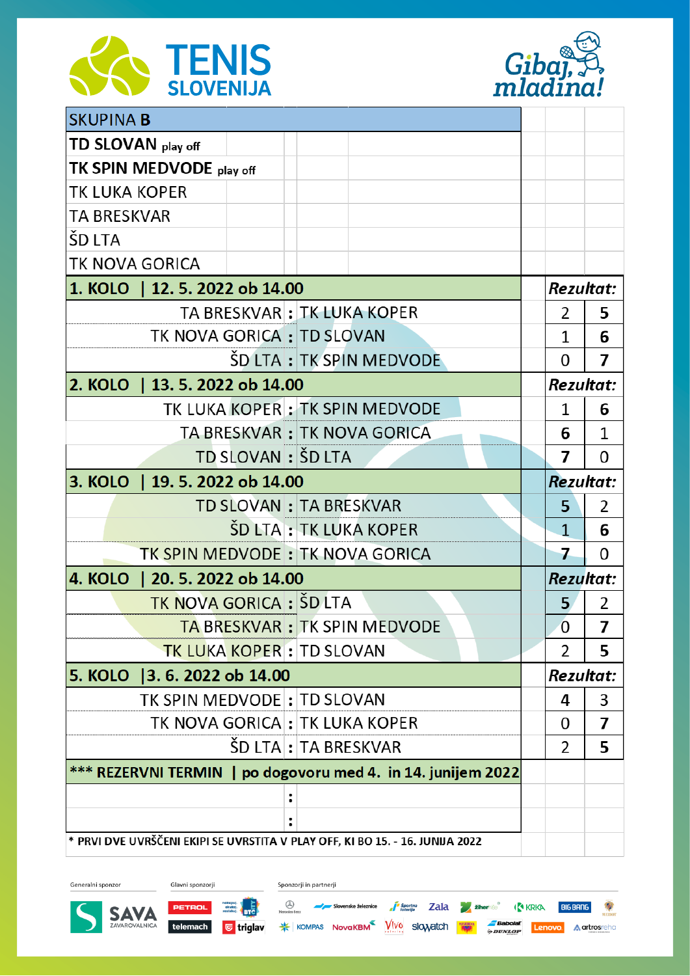



| <b>SKUPINA B</b>                                                              |  |                        |                                      |                  |                |   |
|-------------------------------------------------------------------------------|--|------------------------|--------------------------------------|------------------|----------------|---|
| TD SLOVAN play off                                                            |  |                        |                                      |                  |                |   |
| TK SPIN MEDVODE play off                                                      |  |                        |                                      |                  |                |   |
| TK LUKA KOPER                                                                 |  |                        |                                      |                  |                |   |
| <b>TA BRESKVAR</b>                                                            |  |                        |                                      |                  |                |   |
| ŠD LTA                                                                        |  |                        |                                      |                  |                |   |
| TK NOVA GORICA                                                                |  |                        |                                      |                  |                |   |
| 1. KOLO   12. 5. 2022 ob 14.00                                                |  |                        |                                      | <b>Rezultat:</b> |                |   |
|                                                                               |  |                        | TA BRESKVAR : TK LUKA KOPER          |                  | 2              | 5 |
| TK NOVA GORICA : TD SLOVAN                                                    |  |                        |                                      |                  | 1              | 6 |
|                                                                               |  |                        | ŠD LTA : TK SPIN MEDVODE             |                  | 0              | 7 |
| 2. KOLO   13. 5. 2022 ob 14.00                                                |  |                        |                                      | <b>Rezultat:</b> |                |   |
|                                                                               |  |                        | TK LUKA KOPER : TK SPIN MEDVODE      |                  | 1              | 6 |
|                                                                               |  |                        | TA BRESKVAR: TK NOVA GORICA          |                  | 6              | 1 |
| TD SLOVAN: ŠD LTA                                                             |  |                        | 7                                    | 0                |                |   |
| 3. KOLO   19. 5. 2022 ob 14.00                                                |  |                        |                                      | <b>Rezultat:</b> |                |   |
|                                                                               |  | TD SLOVAN: TA BRESKVAR |                                      |                  | 5              | 2 |
|                                                                               |  |                        | SD LTA : TK LUKA KOPER               |                  | $\mathbf{1}$   | 6 |
| TK SPIN MEDVODE: TK NOVA GORICA                                               |  |                        |                                      |                  | 7              | 0 |
| 4. KOLO   20. 5. 2022 ob 14.00                                                |  |                        |                                      | <b>Rezultat:</b> |                |   |
| <b>TK NOVA GORICA : ŠD LTA</b>                                                |  |                        |                                      |                  | 5              | 2 |
|                                                                               |  |                        | <b>TA BRESKVAR : TK SPIN MEDVODE</b> |                  | $\overline{0}$ | 7 |
| <b>TK LUKA KOPER: TD SLOVAN</b>                                               |  |                        |                                      |                  | 2              | 5 |
| 5. KOLO 3. 6. 2022 ob 14.00                                                   |  |                        |                                      | <b>Rezultat:</b> |                |   |
| TK SPIN MEDVODE: TD SLOVAN                                                    |  |                        |                                      |                  | 4              | 3 |
| TK NOVA GORICA : TK LUKA KOPER                                                |  |                        |                                      |                  | 0              | 7 |
|                                                                               |  | SD LTA : TA BRESKVAR   |                                      |                  | $\overline{2}$ | 5 |
| *** REZERVNI TERMIN   po dogovoru med 4. in 14. junijem 2022                  |  |                        |                                      |                  |                |   |
|                                                                               |  |                        |                                      |                  |                |   |
|                                                                               |  |                        |                                      |                  |                |   |
| * PRVI DVE UVRŠČENI EKIPI SE UVRSTITA V PLAY OFF, KI BO 15. - 16. JUNIJA 2022 |  |                        |                                      |                  |                |   |

Glavni sponzorji Generalni sponzor Sponzorji in partnerji Nerodes Baz Slovenske železnice **a<sup>n s</sup>torrija Zala za žiher**i So<sup>o</sup> (<sup>R</sup>A KRKA BIGBANG ) PETROL **ARRY DISPUTERED SAVA** telemach **U triglav \*** KOMPAS NovaKBM VIVO SlOWatch **KW Spunger Lenovo A artrosreho**